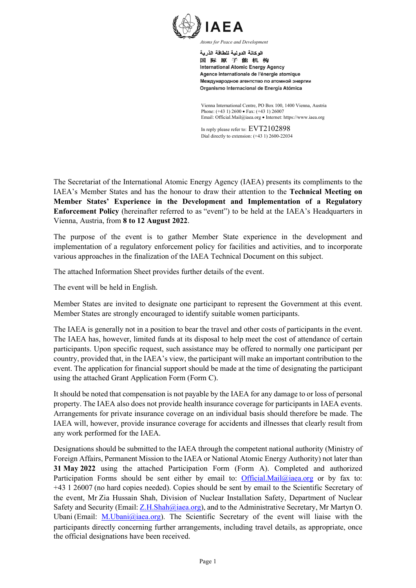

الوكالة الدولية للطاقة الذرية 国际原子能机构 **International Atomic Energy Agency** Agence internationale de l'énergie atomique Международное агентство по атомной энергии Organismo Internacional de Energía Atómica

Vienna International Centre, PO Box 100, 1400 Vienna, Austria Phone: (+43 1) 2600 • Fax: (+43 1) 26007 Email: Official.Mail@iaea.org • Internet: https://www.iaea.org

In reply please refer to: EVT2102898 Dial directly to extension: (+43 1) 2600-22034

The Secretariat of the International Atomic Energy Agency (IAEA) presents its compliments to the IAEA's Member States and has the honour to draw their attention to the **Technical Meeting on Member States' Experience in the Development and Implementation of a Regulatory Enforcement Policy** (hereinafter referred to as "event") to be held at the IAEA's Headquarters in Vienna, Austria, from **8 to 12 August 2022**.

The purpose of the event is to gather Member State experience in the development and implementation of a regulatory enforcement policy for facilities and activities, and to incorporate various approaches in the finalization of the IAEA Technical Document on this subject.

The attached Information Sheet provides further details of the event.

The event will be held in English.

Member States are invited to designate one participant to represent the Government at this event. Member States are strongly encouraged to identify suitable women participants.

The IAEA is generally not in a position to bear the travel and other costs of participants in the event. The IAEA has, however, limited funds at its disposal to help meet the cost of attendance of certain participants. Upon specific request, such assistance may be offered to normally one participant per country, provided that, in the IAEA's view, the participant will make an important contribution to the event. The application for financial support should be made at the time of designating the participant using the attached Grant Application Form (Form C).

It should be noted that compensation is not payable by the IAEA for any damage to or loss of personal property. The IAEA also does not provide health insurance coverage for participants in IAEA events. Arrangements for private insurance coverage on an individual basis should therefore be made. The IAEA will, however, provide insurance coverage for accidents and illnesses that clearly result from any work performed for the IAEA.

Designations should be submitted to the IAEA through the competent national authority (Ministry of Foreign Affairs, Permanent Mission to the IAEA or National Atomic Energy Authority) not later than **31 May 2022** using the attached Participation Form (Form A). Completed and authorized Participation Forms should be sent either by email to: [Official.Mail@iaea.org](mailto:Official.Mail@iaea.org) or by fax to: +43 1 26007 (no hard copies needed). Copies should be sent by email to the Scientific Secretary of the event, Mr Zia Hussain Shah, Division of Nuclear Installation Safety, Department of Nuclear Safety and Security (Email: [Z.H.Shah@iaea.org\)](mailto:Z.H.Shah@iaea.org), and to the Administrative Secretary, Mr Martyn O. Ubani (Email:  $M.Ubani@iaea.org$ ). The Scientific Secretary of the event will liaise with the participants directly concerning further arrangements, including travel details, as appropriate, once the official designations have been received.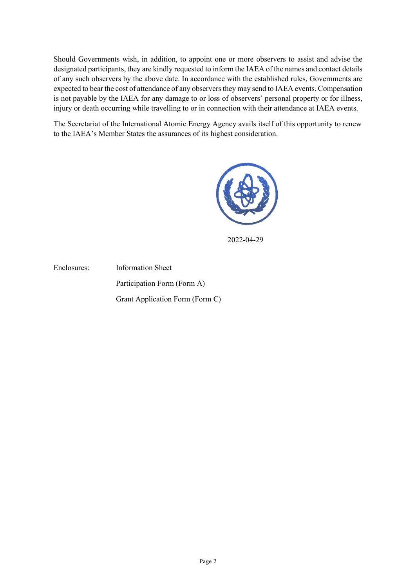Should Governments wish, in addition, to appoint one or more observers to assist and advise the designated participants, they are kindly requested to inform the IAEA of the names and contact details of any such observers by the above date. In accordance with the established rules, Governments are expected to bear the cost of attendance of any observers they may send to IAEA events. Compensation is not payable by the IAEA for any damage to or loss of observers' personal property or for illness, injury or death occurring while travelling to or in connection with their attendance at IAEA events.

The Secretariat of the International Atomic Energy Agency avails itself of this opportunity to renew to the IAEA's Member States the assurances of its highest consideration.



2022-04-29

Enclosures: Information Sheet Participation Form (Form A) Grant Application Form (Form C)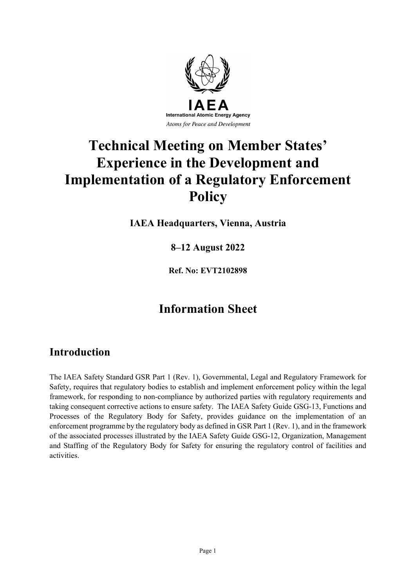

# **Technical Meeting on Member States' Experience in the Development and Implementation of a Regulatory Enforcement Policy**

**IAEA Headquarters, Vienna, Austria**

**8–12 August 2022**

**Ref. No: EVT2102898**

## **Information Sheet**

### **Introduction**

The IAEA Safety Standard GSR Part 1 (Rev. 1), Governmental, Legal and Regulatory Framework for Safety, requires that regulatory bodies to establish and implement enforcement policy within the legal framework, for responding to non-compliance by authorized parties with regulatory requirements and taking consequent corrective actions to ensure safety. The IAEA Safety Guide GSG-13, Functions and Processes of the Regulatory Body for Safety, provides guidance on the implementation of an enforcement programme by the regulatory body as defined in GSR Part 1 (Rev. 1), and in the framework of the associated processes illustrated by the IAEA Safety Guide GSG-12, Organization, Management and Staffing of the Regulatory Body for Safety for ensuring the regulatory control of facilities and activities.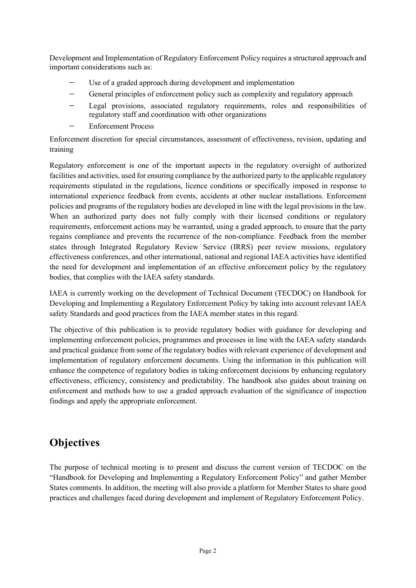Development and Implementation of Regulatory Enforcement Policy requires a structured approach and important considerations such as:

- Use of a graded approach during development and implementation
- General principles of enforcement policy such as complexity and regulatory approach
- Legal provisions, associated regulatory requirements, roles and responsibilities of regulatory staff and coordination with other organizations
- − Enforcement Process

Enforcement discretion for special circumstances, assessment of effectiveness, revision, updating and training

Regulatory enforcement is one of the important aspects in the regulatory oversight of authorized facilities and activities, used for ensuring compliance by the authorized party to the applicable regulatory requirements stipulated in the regulations, licence conditions or specifically imposed in response to international experience feedback from events, accidents at other nuclear installations. Enforcement policies and programs of the regulatory bodies are developed in line with the legal provisions in the law. When an authorized party does not fully comply with their licensed conditions or regulatory requirements, enforcement actions may be warranted, using a graded approach, to ensure that the party regains compliance and prevents the recurrence of the non-compliance. Feedback from the member states through Integrated Regulatory Review Service (IRRS) peer review missions, regulatory effectiveness conferences, and other international, national and regional IAEA activities have identified the need for development and implementation of an effective enforcement policy by the regulatory bodies, that complies with the IAEA safety standards.

IAEA is currently working on the development of Technical Document (TECDOC) on Handbook for Developing and Implementing a Regulatory Enforcement Policy by taking into account relevant IAEA safety Standards and good practices from the IAEA member states in this regard.

The objective of this publication is to provide regulatory bodies with guidance for developing and implementing enforcement policies, programmes and processes in line with the IAEA safety standards and practical guidance from some of the regulatory bodies with relevant experience of development and implementation of regulatory enforcement documents. Using the information in this publication will enhance the competence of regulatory bodies in taking enforcement decisions by enhancing regulatory effectiveness, efficiency, consistency and predictability. The handbook also guides about training on enforcement and methods how to use a graded approach evaluation of the significance of inspection findings and apply the appropriate enforcement.

### **Objectives**

The purpose of technical meeting is to present and discuss the current version of TECDOC on the "Handbook for Developing and Implementing a Regulatory Enforcement Policy" and gather Member States comments. In addition, the meeting will also provide a platform for Member States to share good practices and challenges faced during development and implement of Regulatory Enforcement Policy.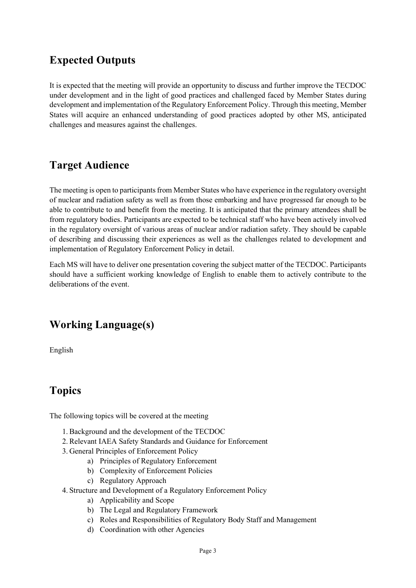## **Expected Outputs**

It is expected that the meeting will provide an opportunity to discuss and further improve the TECDOC under development and in the light of good practices and challenged faced by Member States during development and implementation of the Regulatory Enforcement Policy. Through this meeting, Member States will acquire an enhanced understanding of good practices adopted by other MS, anticipated challenges and measures against the challenges.

### **Target Audience**

The meeting is open to participants from Member States who have experience in the regulatory oversight of nuclear and radiation safety as well as from those embarking and have progressed far enough to be able to contribute to and benefit from the meeting. It is anticipated that the primary attendees shall be from regulatory bodies. Participants are expected to be technical staff who have been actively involved in the regulatory oversight of various areas of nuclear and/or radiation safety. They should be capable of describing and discussing their experiences as well as the challenges related to development and implementation of Regulatory Enforcement Policy in detail.

Each MS will have to deliver one presentation covering the subject matter of the TECDOC. Participants should have a sufficient working knowledge of English to enable them to actively contribute to the deliberations of the event.

### **Working Language(s)**

English

## **Topics**

The following topics will be covered at the meeting

- 1. Background and the development of the TECDOC
- 2. Relevant IAEA Safety Standards and Guidance for Enforcement
- 3. General Principles of Enforcement Policy
	- a) Principles of Regulatory Enforcement
	- b) Complexity of Enforcement Policies
	- c) Regulatory Approach
- 4. Structure and Development of a Regulatory Enforcement Policy
	- a) Applicability and Scope
	- b) The Legal and Regulatory Framework
	- c) Roles and Responsibilities of Regulatory Body Staff and Management
	- d) Coordination with other Agencies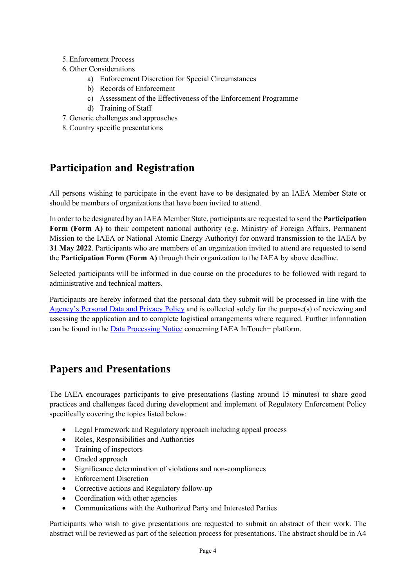- 5. Enforcement Process
- 6. Other Considerations
	- a) Enforcement Discretion for Special Circumstances
	- b) Records of Enforcement
	- c) Assessment of the Effectiveness of the Enforcement Programme
	- d) Training of Staff
- 7. Generic challenges and approaches
- 8. Country specific presentations

### **Participation and Registration**

All persons wishing to participate in the event have to be designated by an IAEA Member State or should be members of organizations that have been invited to attend.

In order to be designated by an IAEA Member State, participants are requested to send the **Participation Form (Form A)** to their competent national authority (e.g. Ministry of Foreign Affairs, Permanent Mission to the IAEA or National Atomic Energy Authority) for onward transmission to the IAEA by **31 May 2022**. Participants who are members of an organization invited to attend are requested to send the **Participation Form (Form A)** through their organization to the IAEA by above deadline.

Selected participants will be informed in due course on the procedures to be followed with regard to administrative and technical matters.

Participants are hereby informed that the personal data they submit will be processed in line with the [Agency's Personal Data and Privacy Policy](https://www.iaea.org/about/privacy-policy) and is collected solely for the purpose(s) of reviewing and assessing the application and to complete logistical arrangements where required. Further information can be found in the [Data Processing Notice](https://nucleus.iaea.org/sites/intouchplushelp/Documents/itp_dpn.pdf) concerning IAEA InTouch+ platform.

### **Papers and Presentations**

The IAEA encourages participants to give presentations (lasting around 15 minutes) to share good practices and challenges faced during development and implement of Regulatory Enforcement Policy specifically covering the topics listed below:

- Legal Framework and Regulatory approach including appeal process
- Roles, Responsibilities and Authorities
- Training of inspectors
- Graded approach
- Significance determination of violations and non-compliances
- Enforcement Discretion
- Corrective actions and Regulatory follow-up
- Coordination with other agencies
- Communications with the Authorized Party and Interested Parties

Participants who wish to give presentations are requested to submit an abstract of their work. The abstract will be reviewed as part of the selection process for presentations. The abstract should be in A4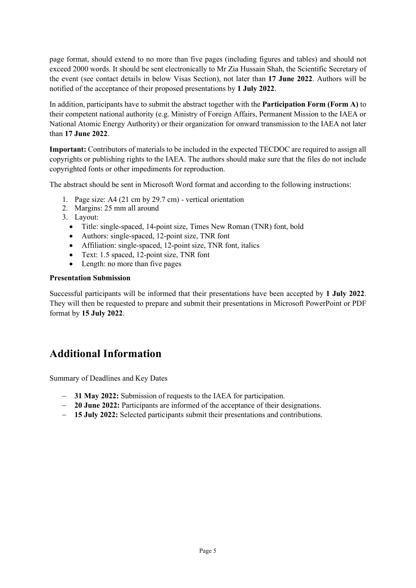page format, should extend to no more than five pages (including figures and tables) and should not exceed 2000 words. It should be sent electronically to Mr Zia Hussain Shah, the Scientific Secretary of the event (see contact details in below Visas Section), not later than **17 June 2022**. Authors will be notified of the acceptance of their proposed presentations by **1 July 2022**.

In addition, participants have to submit the abstract together with the **Participation Form (Form A)** to their competent national authority (e.g. Ministry of Foreign Affairs, Permanent Mission to the IAEA or National Atomic Energy Authority) or their organization for onward transmission to the IAEA not later than **17 June 2022**.

**Important:** Contributors of materials to be included in the expected TECDOC are required to assign all copyrights or publishing rights to the IAEA. The authors should make sure that the files do not include copyrighted fonts or other impediments for reproduction.

The abstract should be sent in Microsoft Word format and according to the following instructions:

- 1. Page size: A4 (21 cm by 29.7 cm) vertical orientation
- 2. Margins: 25 mm all around
- 3. Layout:
	- Title: single-spaced, 14-point size, Times New Roman (TNR) font, bold
	- Authors: single-spaced, 12-point size, TNR font
	- Affiliation: single-spaced, 12-point size, TNR font, italics
	- Text: 1.5 spaced, 12-point size, TNR font
	- Length: no more than five pages

#### **Presentation Submission**

Successful participants will be informed that their presentations have been accepted by **1 July 2022**. They will then be requested to prepare and submit their presentations in Microsoft PowerPoint or PDF format by **15 July 2022**.

### **Additional Information**

Summary of Deadlines and Key Dates

- − **31 May 2022:** Submission of requests to the IAEA for participation.
- − **20 June 2022:** Participants are informed of the acceptance of their designations.
- − **15 July 2022:** Selected participants submit their presentations and contributions.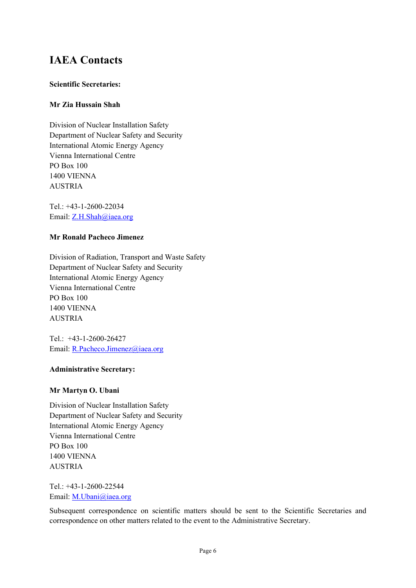### **IAEA Contacts**

#### **Scientific Secretaries:**

#### **Mr Zia Hussain Shah**

Division of Nuclear Installation Safety Department of Nuclear Safety and Security International Atomic Energy Agency Vienna International Centre PO Box 100 1400 VIENNA **AUSTRIA** 

Tel.: +43-1-2600-22034 Email: [Z.H.Shah@iaea.org](mailto:Z.H.Shah@iaea.org)

#### **Mr Ronald Pacheco Jimenez**

Division of Radiation, Transport and Waste Safety Department of Nuclear Safety and Security International Atomic Energy Agency Vienna International Centre PO Box 100 1400 VIENNA AUSTRIA

Tel.: +43-1-2600-26427 Email: [R.Pacheco.Jimenez@iaea.org](mailto:R.Pacheco.Jimenez@iaea.org)

#### **Administrative Secretary:**

#### **Mr Martyn O. Ubani**

Division of Nuclear Installation Safety Department of Nuclear Safety and Security International Atomic Energy Agency Vienna International Centre PO Box 100 1400 VIENNA AUSTRIA

Tel.: +43-1-2600-22544 Email: [M.Ubani@iaea.org](mailto:M.Ubani@iaea.org)

Subsequent correspondence on scientific matters should be sent to the Scientific Secretaries and correspondence on other matters related to the event to the Administrative Secretary.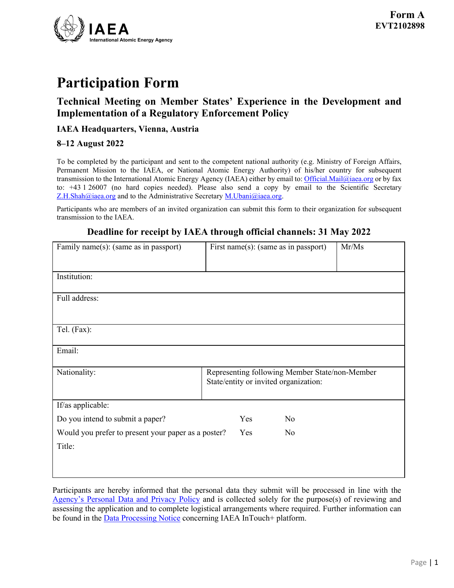

## **Participation Form**

### **Technical Meeting on Member States' Experience in the Development and Implementation of a Regulatory Enforcement Policy**

#### **IAEA Headquarters, Vienna, Austria**

#### **8–12 August 2022**

To be completed by the participant and sent to the competent national authority (e.g. Ministry of Foreign Affairs, Permanent Mission to the IAEA, or National Atomic Energy Authority) of his/her country for subsequent transmission to the International Atomic Energy Agency (IAEA) either by email to[: Official.Mail@iaea.org](mailto:official.mail@iaea.org) or by fax to: +43 1 26007 (no hard copies needed). Please also send a copy by email to the Scientific Secretary  $Z.H.Shah@i$ aea.org and to the Administrative Secretary M.Ubani $@i$ aea.org.

Participants who are members of an invited organization can submit this form to their organization for subsequent transmission to the IAEA.

# **Deadline for receipt by IAEA through official channels: 31 May 2022**

| Family name(s): (same as in passport)               | First name(s): (same as in passport)                                                    |    | Mr/Ms |
|-----------------------------------------------------|-----------------------------------------------------------------------------------------|----|-------|
|                                                     |                                                                                         |    |       |
| Institution:                                        |                                                                                         |    |       |
|                                                     |                                                                                         |    |       |
| Full address:                                       |                                                                                         |    |       |
|                                                     |                                                                                         |    |       |
|                                                     |                                                                                         |    |       |
| Tel. (Fax):                                         |                                                                                         |    |       |
|                                                     |                                                                                         |    |       |
| Email:                                              |                                                                                         |    |       |
| Nationality:                                        |                                                                                         |    |       |
|                                                     | Representing following Member State/non-Member<br>State/entity or invited organization: |    |       |
|                                                     |                                                                                         |    |       |
| If/as applicable:                                   |                                                                                         |    |       |
| Do you intend to submit a paper?                    | Yes                                                                                     | No |       |
| Would you prefer to present your paper as a poster? | Yes                                                                                     | No |       |
| Title:                                              |                                                                                         |    |       |
|                                                     |                                                                                         |    |       |
|                                                     |                                                                                         |    |       |

Participants are hereby informed that the personal data they submit will be processed in line with the [Agency's Personal Data and Privacy Policy](https://www.iaea.org/about/privacy-policy) and is collected solely for the purpose(s) of reviewing and assessing the application and to complete logistical arrangements where required. Further information can be found in the **Data Processing Notice** concerning IAEA InTouch+ platform.